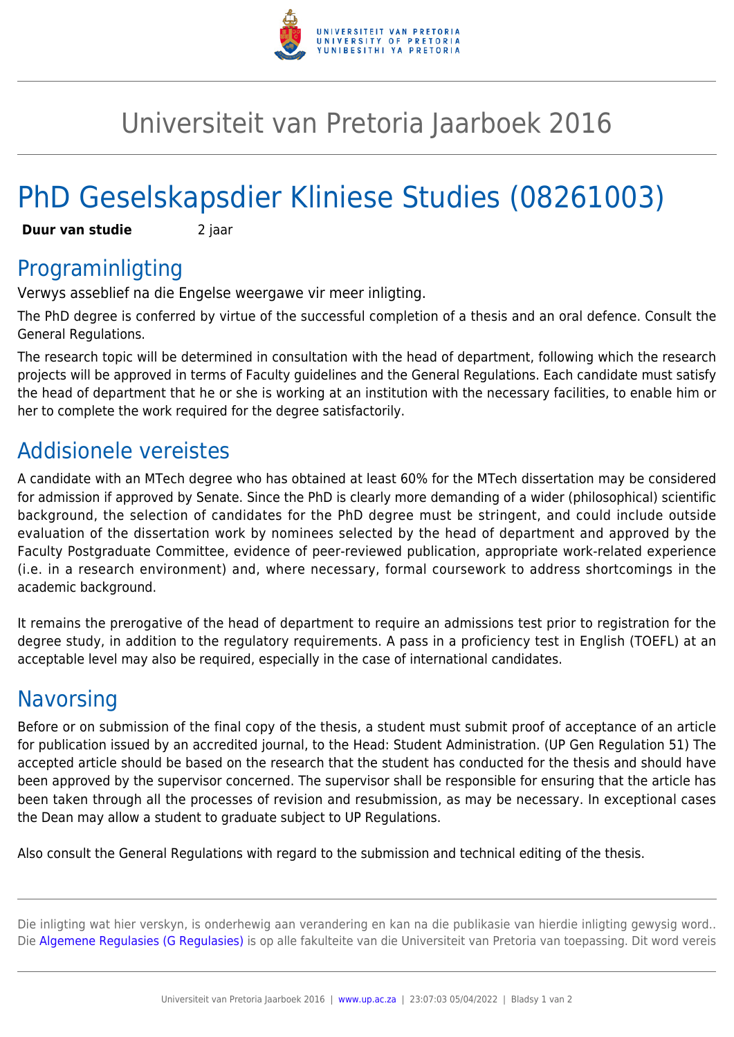

## Universiteit van Pretoria Jaarboek 2016

# PhD Geselskapsdier Kliniese Studies (08261003)

**Duur van studie** 2 jaar

### Programinligting

Verwys asseblief na die Engelse weergawe vir meer inligting.

The PhD degree is conferred by virtue of the successful completion of a thesis and an oral defence. Consult the General Regulations.

The research topic will be determined in consultation with the head of department, following which the research projects will be approved in terms of Faculty guidelines and the General Regulations. Each candidate must satisfy the head of department that he or she is working at an institution with the necessary facilities, to enable him or her to complete the work required for the degree satisfactorily.

### Addisionele vereistes

A candidate with an MTech degree who has obtained at least 60% for the MTech dissertation may be considered for admission if approved by Senate. Since the PhD is clearly more demanding of a wider (philosophical) scientific background, the selection of candidates for the PhD degree must be stringent, and could include outside evaluation of the dissertation work by nominees selected by the head of department and approved by the Faculty Postgraduate Committee, evidence of peer-reviewed publication, appropriate work-related experience (i.e. in a research environment) and, where necessary, formal coursework to address shortcomings in the academic background.

It remains the prerogative of the head of department to require an admissions test prior to registration for the degree study, in addition to the regulatory requirements. A pass in a proficiency test in English (TOEFL) at an acceptable level may also be required, especially in the case of international candidates.

#### **Navorsing**

Before or on submission of the final copy of the thesis, a student must submit proof of acceptance of an article for publication issued by an accredited journal, to the Head: Student Administration. (UP Gen Regulation 51) The accepted article should be based on the research that the student has conducted for the thesis and should have been approved by the supervisor concerned. The supervisor shall be responsible for ensuring that the article has been taken through all the processes of revision and resubmission, as may be necessary. In exceptional cases the Dean may allow a student to graduate subject to UP Regulations.

Also consult the General Regulations with regard to the submission and technical editing of the thesis.

Die inligting wat hier verskyn, is onderhewig aan verandering en kan na die publikasie van hierdie inligting gewysig word.. Die [Algemene Regulasies \(G Regulasies\)](https://www.up.ac.za/faculty-of-education/yearbooks/2016/rules/view/REG/lg/af) is op alle fakulteite van die Universiteit van Pretoria van toepassing. Dit word vereis